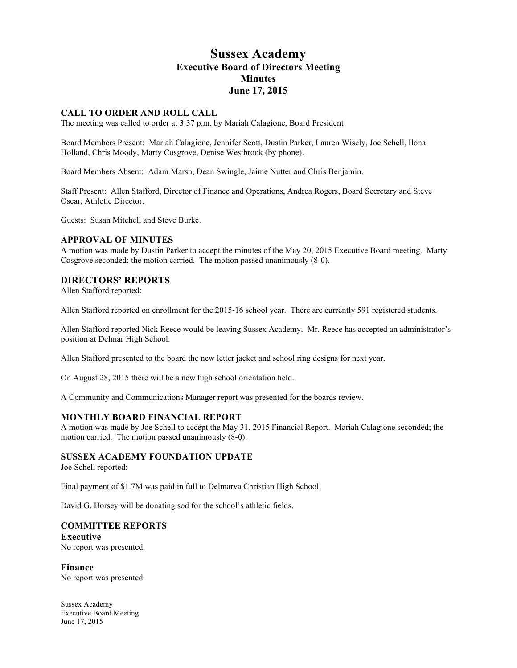# **Sussex Academy Executive Board of Directors Meeting Minutes June 17, 2015**

### **CALL TO ORDER AND ROLL CALL**

The meeting was called to order at 3:37 p.m. by Mariah Calagione, Board President

Board Members Present: Mariah Calagione, Jennifer Scott, Dustin Parker, Lauren Wisely, Joe Schell, Ilona Holland, Chris Moody, Marty Cosgrove, Denise Westbrook (by phone).

Board Members Absent: Adam Marsh, Dean Swingle, Jaime Nutter and Chris Benjamin.

Staff Present: Allen Stafford, Director of Finance and Operations, Andrea Rogers, Board Secretary and Steve Oscar, Athletic Director.

Guests: Susan Mitchell and Steve Burke.

#### **APPROVAL OF MINUTES**

A motion was made by Dustin Parker to accept the minutes of the May 20, 2015 Executive Board meeting. Marty Cosgrove seconded; the motion carried. The motion passed unanimously (8-0).

### **DIRECTORS' REPORTS**

Allen Stafford reported:

Allen Stafford reported on enrollment for the 2015-16 school year. There are currently 591 registered students.

Allen Stafford reported Nick Reece would be leaving Sussex Academy. Mr. Reece has accepted an administrator's position at Delmar High School.

Allen Stafford presented to the board the new letter jacket and school ring designs for next year.

On August 28, 2015 there will be a new high school orientation held.

A Community and Communications Manager report was presented for the boards review.

#### **MONTHLY BOARD FINANCIAL REPORT**

A motion was made by Joe Schell to accept the May 31, 2015 Financial Report. Mariah Calagione seconded; the motion carried. The motion passed unanimously (8-0).

### **SUSSEX ACADEMY FOUNDATION UPDATE**

Joe Schell reported:

Final payment of \$1.7M was paid in full to Delmarva Christian High School.

David G. Horsey will be donating sod for the school's athletic fields.

#### **COMMITTEE REPORTS**

**Executive** No report was presented.

**Finance** No report was presented.

Sussex Academy Executive Board Meeting June 17, 2015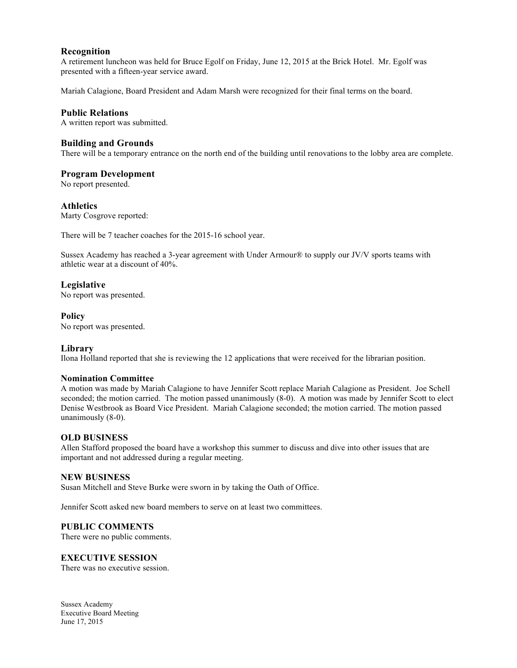### **Recognition**

A retirement luncheon was held for Bruce Egolf on Friday, June 12, 2015 at the Brick Hotel. Mr. Egolf was presented with a fifteen-year service award.

Mariah Calagione, Board President and Adam Marsh were recognized for their final terms on the board.

# **Public Relations**

A written report was submitted.

### **Building and Grounds**

There will be a temporary entrance on the north end of the building until renovations to the lobby area are complete.

# **Program Development**

No report presented.

### **Athletics**

Marty Cosgrove reported:

There will be 7 teacher coaches for the 2015-16 school year.

Sussex Academy has reached a 3-year agreement with Under Armour® to supply our JV/V sports teams with athletic wear at a discount of 40%.

# **Legislative**

No report was presented.

### **Policy**

No report was presented.

### **Library**

Ilona Holland reported that she is reviewing the 12 applications that were received for the librarian position.

### **Nomination Committee**

A motion was made by Mariah Calagione to have Jennifer Scott replace Mariah Calagione as President. Joe Schell seconded; the motion carried. The motion passed unanimously (8-0). A motion was made by Jennifer Scott to elect Denise Westbrook as Board Vice President. Mariah Calagione seconded; the motion carried. The motion passed unanimously (8-0).

### **OLD BUSINESS**

Allen Stafford proposed the board have a workshop this summer to discuss and dive into other issues that are important and not addressed during a regular meeting.

### **NEW BUSINESS**

Susan Mitchell and Steve Burke were sworn in by taking the Oath of Office.

Jennifer Scott asked new board members to serve on at least two committees.

### **PUBLIC COMMENTS**

There were no public comments.

### **EXECUTIVE SESSION**

There was no executive session.

Sussex Academy Executive Board Meeting June 17, 2015